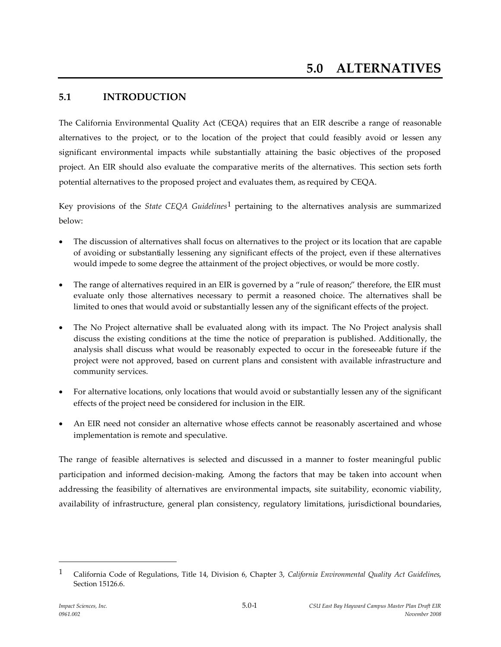# **5.1 INTRODUCTION**

The California Environmental Quality Act (CEQA) requires that an EIR describe a range of reasonable alternatives to the project, or to the location of the project that could feasibly avoid or lessen any significant environmental impacts while substantially attaining the basic objectives of the proposed project. An EIR should also evaluate the comparative merits of the alternatives. This section sets forth potential alternatives to the proposed project and evaluates them, as required by CEQA.

Key provisions of the *State CEQA Guidelines*1 pertaining to the alternatives analysis are summarized below:

- The discussion of alternatives shall focus on alternatives to the project or its location that are capable of avoiding or substantially lessening any significant effects of the project, even if these alternatives would impede to some degree the attainment of the project objectives, or would be more costly.
- The range of alternatives required in an EIR is governed by a "rule of reason;" therefore, the EIR must evaluate only those alternatives necessary to permit a reasoned choice. The alternatives shall be limited to ones that would avoid or substantially lessen any of the significant effects of the project.
- The No Project alternative shall be evaluated along with its impact. The No Project analysis shall discuss the existing conditions at the time the notice of preparation is published. Additionally, the analysis shall discuss what would be reasonably expected to occur in the foreseeable future if the project were not approved, based on current plans and consistent with available infrastructure and community services.
- For alternative locations, only locations that would avoid or substantially lessen any of the significant effects of the project need be considered for inclusion in the EIR.
- An EIR need not consider an alternative whose effects cannot be reasonably ascertained and whose implementation is remote and speculative.

The range of feasible alternatives is selected and discussed in a manner to foster meaningful public participation and informed decision-making. Among the factors that may be taken into account when addressing the feasibility of alternatives are environmental impacts, site suitability, economic viability, availability of infrastructure, general plan consistency, regulatory limitations, jurisdictional boundaries,

<sup>1</sup> California Code of Regulations, Title 14, Division 6, Chapter 3, *California Environmental Quality Act Guidelines*, Section 15126.6.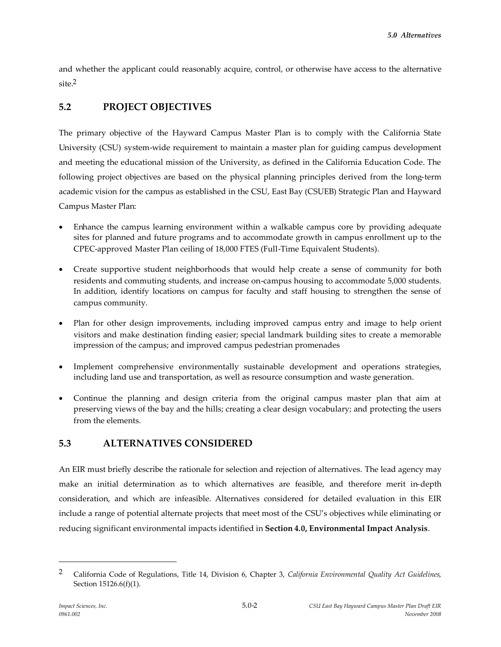and whether the applicant could reasonably acquire, control, or otherwise have access to the alternative  $\sin^2$ 

# **5.2 PROJECT OBJECTIVES**

The primary objective of the Hayward Campus Master Plan is to comply with the California State University (CSU) system-wide requirement to maintain a master plan for guiding campus development and meeting the educational mission of the University, as defined in the California Education Code. The following project objectives are based on the physical planning principles derived from the long-term academic vision for the campus as established in the CSU, East Bay (CSUEB) Strategic Plan and Hayward Campus Master Plan:

- Enhance the campus learning environment within a walkable campus core by providing adequate sites for planned and future programs and to accommodate growth in campus enrollment up to the CPEC-approved Master Plan ceiling of 18,000 FTES (Full-Time Equivalent Students).
- Create supportive student neighborhoods that would help create a sense of community for both residents and commuting students, and increase on-campus housing to accommodate 5,000 students. In addition, identify locations on campus for faculty and staff housing to strengthen the sense of campus community.
- Plan for other design improvements, including improved campus entry and image to help orient visitors and make destination finding easier; special landmark building sites to create a memorable impression of the campus; and improved campus pedestrian promenades
- Implement comprehensive environmentally sustainable development and operations strategies, including land use and transportation, as well as resource consumption and waste generation.
- Continue the planning and design criteria from the original campus master plan that aim at preserving views of the bay and the hills; creating a clear design vocabulary; and protecting the users from the elements.

# **5.3 ALTERNATIVES CONSIDERED**

An EIR must briefly describe the rationale for selection and rejection of alternatives. The lead agency may make an initial determination as to which alternatives are feasible, and therefore merit in-depth consideration, and which are infeasible. Alternatives considered for detailed evaluation in this EIR include a range of potential alternate projects that meet most of the CSU's objectives while eliminating or reducing significant environmental impacts identified in **Section 4.0, Environmental Impact Analysis**.

<sup>2</sup> California Code of Regulations, Title 14, Division 6, Chapter 3, *California Environmental Quality Act Guidelines*, Section 15126.6(f)(1).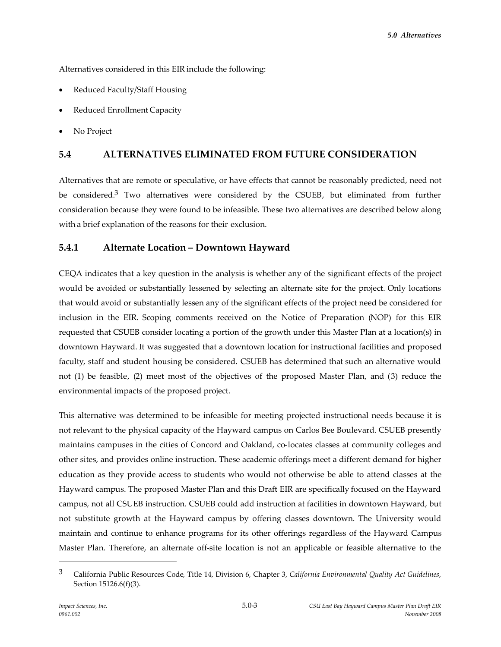Alternatives considered in this EIR include the following:

- Reduced Faculty/Staff Housing
- Reduced Enrollment Capacity
- No Project

# **5.4 ALTERNATIVES ELIMINATED FROM FUTURE CONSIDERATION**

Alternatives that are remote or speculative, or have effects that cannot be reasonably predicted, need not be considered.<sup>3</sup> Two alternatives were considered by the CSUEB, but eliminated from further consideration because they were found to be infeasible. These two alternatives are described below along with a brief explanation of the reasons for their exclusion.

# **5.4.1 Alternate Location – Downtown Hayward**

CEQA indicates that a key question in the analysis is whether any of the significant effects of the project would be avoided or substantially lessened by selecting an alternate site for the project. Only locations that would avoid or substantially lessen any of the significant effects of the project need be considered for inclusion in the EIR. Scoping comments received on the Notice of Preparation (NOP) for this EIR requested that CSUEB consider locating a portion of the growth under this Master Plan at a location(s) in downtown Hayward. It was suggested that a downtown location for instructional facilities and proposed faculty, staff and student housing be considered. CSUEB has determined that such an alternative would not (1) be feasible, (2) meet most of the objectives of the proposed Master Plan, and (3) reduce the environmental impacts of the proposed project.

This alternative was determined to be infeasible for meeting projected instructional needs because it is not relevant to the physical capacity of the Hayward campus on Carlos Bee Boulevard. CSUEB presently maintains campuses in the cities of Concord and Oakland, co-locates classes at community colleges and other sites, and provides online instruction. These academic offerings meet a different demand for higher education as they provide access to students who would not otherwise be able to attend classes at the Hayward campus. The proposed Master Plan and this Draft EIR are specifically focused on the Hayward campus, not all CSUEB instruction. CSUEB could add instruction at facilities in downtown Hayward, but not substitute growth at the Hayward campus by offering classes downtown. The University would maintain and continue to enhance programs for its other offerings regardless of the Hayward Campus Master Plan. Therefore, an alternate off-site location is not an applicable or feasible alternative to the

<sup>3</sup> California Public Resources Code, Title 14, Division 6, Chapter 3, *California Environmental Quality Act Guidelines*, Section 15126.6(f)(3).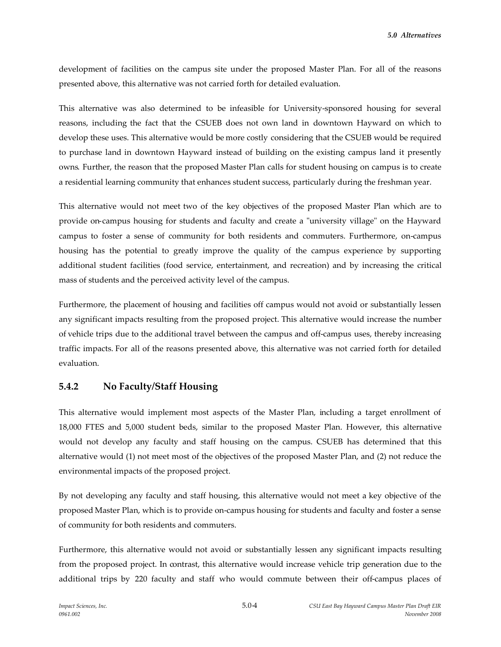development of facilities on the campus site under the proposed Master Plan. For all of the reasons presented above, this alternative was not carried forth for detailed evaluation.

This alternative was also determined to be infeasible for University-sponsored housing for several reasons, including the fact that the CSUEB does not own land in downtown Hayward on which to develop these uses. This alternative would be more costly considering that the CSUEB would be required to purchase land in downtown Hayward instead of building on the existing campus land it presently owns. Further, the reason that the proposed Master Plan calls for student housing on campus is to create a residential learning community that enhances student success, particularly during the freshman year.

This alternative would not meet two of the key objectives of the proposed Master Plan which are to provide on-campus housing for students and faculty and create a "university village" on the Hayward campus to foster a sense of community for both residents and commuters. Furthermore, on-campus housing has the potential to greatly improve the quality of the campus experience by supporting additional student facilities (food service, entertainment, and recreation) and by increasing the critical mass of students and the perceived activity level of the campus.

Furthermore, the placement of housing and facilities off campus would not avoid or substantially lessen any significant impacts resulting from the proposed project. This alternative would increase the number of vehicle trips due to the additional travel between the campus and off-campus uses, thereby increasing traffic impacts. For all of the reasons presented above, this alternative was not carried forth for detailed evaluation.

# **5.4.2 No Faculty/Staff Housing**

This alternative would implement most aspects of the Master Plan, including a target enrollment of 18,000 FTES and 5,000 student beds, similar to the proposed Master Plan. However, this alternative would not develop any faculty and staff housing on the campus. CSUEB has determined that this alternative would (1) not meet most of the objectives of the proposed Master Plan, and (2) not reduce the environmental impacts of the proposed project.

By not developing any faculty and staff housing, this alternative would not meet a key objective of the proposed Master Plan, which is to provide on-campus housing for students and faculty and foster a sense of community for both residents and commuters.

Furthermore, this alternative would not avoid or substantially lessen any significant impacts resulting from the proposed project. In contrast, this alternative would increase vehicle trip generation due to the additional trips by 220 faculty and staff who would commute between their off-campus places of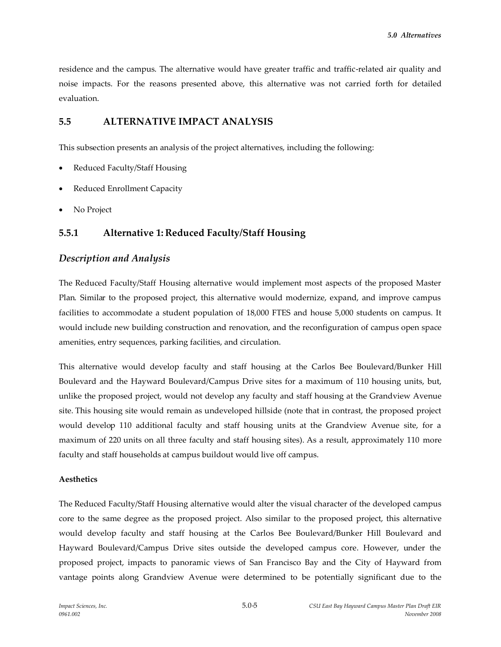residence and the campus. The alternative would have greater traffic and traffic-related air quality and noise impacts. For the reasons presented above, this alternative was not carried forth for detailed evaluation.

# **5.5 ALTERNATIVE IMPACT ANALYSIS**

This subsection presents an analysis of the project alternatives, including the following:

- Reduced Faculty/Staff Housing
- Reduced Enrollment Capacity
- No Project

# **5.5.1 Alternative 1: Reduced Faculty/Staff Housing**

# *Description and Analysis*

The Reduced Faculty/Staff Housing alternative would implement most aspects of the proposed Master Plan. Similar to the proposed project, this alternative would modernize, expand, and improve campus facilities to accommodate a student population of 18,000 FTES and house 5,000 students on campus. It would include new building construction and renovation, and the reconfiguration of campus open space amenities, entry sequences, parking facilities, and circulation.

This alternative would develop faculty and staff housing at the Carlos Bee Boulevard/Bunker Hill Boulevard and the Hayward Boulevard/Campus Drive sites for a maximum of 110 housing units, but, unlike the proposed project, would not develop any faculty and staff housing at the Grandview Avenue site. This housing site would remain as undeveloped hillside (note that in contrast, the proposed project would develop 110 additional faculty and staff housing units at the Grandview Avenue site, for a maximum of 220 units on all three faculty and staff housing sites). As a result, approximately 110 more faculty and staff households at campus buildout would live off campus.

# **Aesthetics**

The Reduced Faculty/Staff Housing alternative would alter the visual character of the developed campus core to the same degree as the proposed project. Also similar to the proposed project, this alternative would develop faculty and staff housing at the Carlos Bee Boulevard/Bunker Hill Boulevard and Hayward Boulevard/Campus Drive sites outside the developed campus core. However, under the proposed project, impacts to panoramic views of San Francisco Bay and the City of Hayward from vantage points along Grandview Avenue were determined to be potentially significant due to the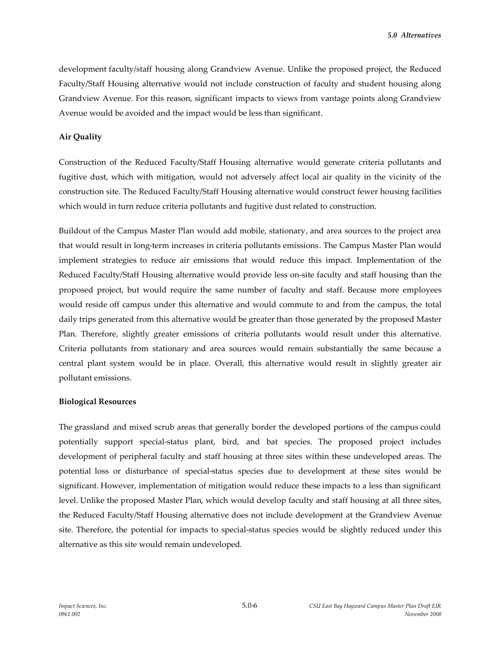development faculty/staff housing along Grandview Avenue. Unlike the proposed project, the Reduced Faculty/Staff Housing alternative would not include construction of faculty and student housing along Grandview Avenue. For this reason, significant impacts to views from vantage points along Grandview Avenue would be avoided and the impact would be less than significant.

## **Air Quality**

Construction of the Reduced Faculty/Staff Housing alternative would generate criteria pollutants and fugitive dust, which with mitigation, would not adversely affect local air quality in the vicinity of the construction site. The Reduced Faculty/Staff Housing alternative would construct fewer housing facilities which would in turn reduce criteria pollutants and fugitive dust related to construction.

Buildout of the Campus Master Plan would add mobile, stationary, and area sources to the project area that would result in long-term increases in criteria pollutants emissions. The Campus Master Plan would implement strategies to reduce air emissions that would reduce this impact. Implementation of the Reduced Faculty/Staff Housing alternative would provide less on-site faculty and staff housing than the proposed project, but would require the same number of faculty and staff. Because more employees would reside off campus under this alternative and would commute to and from the campus, the total daily trips generated from this alternative would be greater than those generated by the proposed Master Plan. Therefore, slightly greater emissions of criteria pollutants would result under this alternative. Criteria pollutants from stationary and area sources would remain substantially the same because a central plant system would be in place. Overall, this alternative would result in slightly greater air pollutant emissions.

#### **Biological Resources**

The grassland and mixed scrub areas that generally border the developed portions of the campus could potentially support special-status plant, bird, and bat species. The proposed project includes development of peripheral faculty and staff housing at three sites within these undeveloped areas. The potential loss or disturbance of special-status species due to development at these sites would be significant. However, implementation of mitigation would reduce these impacts to a less than significant level. Unlike the proposed Master Plan, which would develop faculty and staff housing at all three sites, the Reduced Faculty/Staff Housing alternative does not include development at the Grandview Avenue site. Therefore, the potential for impacts to special-status species would be slightly reduced under this alternative as this site would remain undeveloped.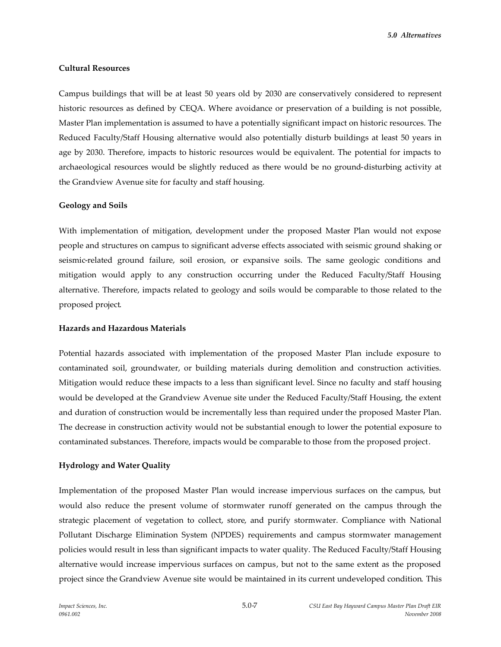#### **Cultural Resources**

Campus buildings that will be at least 50 years old by 2030 are conservatively considered to represent historic resources as defined by CEQA. Where avoidance or preservation of a building is not possible, Master Plan implementation is assumed to have a potentially significant impact on historic resources. The Reduced Faculty/Staff Housing alternative would also potentially disturb buildings at least 50 years in age by 2030. Therefore, impacts to historic resources would be equivalent. The potential for impacts to archaeological resources would be slightly reduced as there would be no ground-disturbing activity at the Grandview Avenue site for faculty and staff housing.

### **Geology and Soils**

With implementation of mitigation, development under the proposed Master Plan would not expose people and structures on campus to significant adverse effects associated with seismic ground shaking or seismic-related ground failure, soil erosion, or expansive soils. The same geologic conditions and mitigation would apply to any construction occurring under the Reduced Faculty/Staff Housing alternative. Therefore, impacts related to geology and soils would be comparable to those related to the proposed project.

### **Hazards and Hazardous Materials**

Potential hazards associated with implementation of the proposed Master Plan include exposure to contaminated soil, groundwater, or building materials during demolition and construction activities. Mitigation would reduce these impacts to a less than significant level. Since no faculty and staff housing would be developed at the Grandview Avenue site under the Reduced Faculty/Staff Housing, the extent and duration of construction would be incrementally less than required under the proposed Master Plan. The decrease in construction activity would not be substantial enough to lower the potential exposure to contaminated substances. Therefore, impacts would be comparable to those from the proposed project.

# **Hydrology and Water Quality**

Implementation of the proposed Master Plan would increase impervious surfaces on the campus, but would also reduce the present volume of stormwater runoff generated on the campus through the strategic placement of vegetation to collect, store, and purify stormwater. Compliance with National Pollutant Discharge Elimination System (NPDES) requirements and campus stormwater management policies would result in less than significant impacts to water quality. The Reduced Faculty/Staff Housing alternative would increase impervious surfaces on campus, but not to the same extent as the proposed project since the Grandview Avenue site would be maintained in its current undeveloped condition. This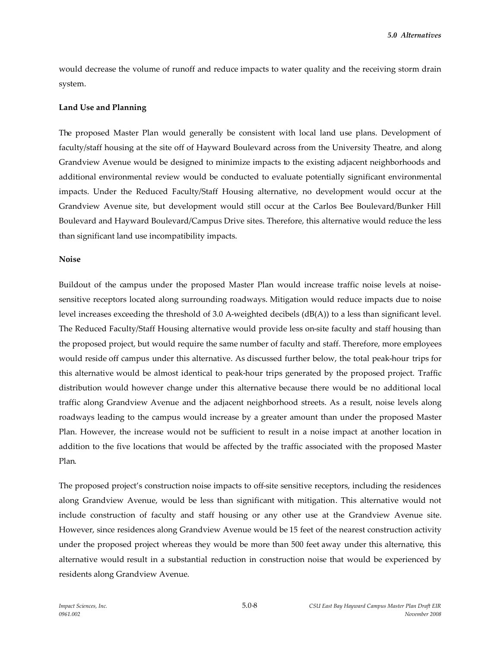would decrease the volume of runoff and reduce impacts to water quality and the receiving storm drain system.

# **Land Use and Planning**

The proposed Master Plan would generally be consistent with local land use plans. Development of faculty/staff housing at the site off of Hayward Boulevard across from the University Theatre, and along Grandview Avenue would be designed to minimize impacts to the existing adjacent neighborhoods and additional environmental review would be conducted to evaluate potentially significant environmental impacts. Under the Reduced Faculty/Staff Housing alternative, no development would occur at the Grandview Avenue site, but development would still occur at the Carlos Bee Boulevard/Bunker Hill Boulevard and Hayward Boulevard/Campus Drive sites. Therefore, this alternative would reduce the less than significant land use incompatibility impacts.

#### **Noise**

Buildout of the campus under the proposed Master Plan would increase traffic noise levels at noisesensitive receptors located along surrounding roadways. Mitigation would reduce impacts due to noise level increases exceeding the threshold of 3.0 A-weighted decibels (dB(A)) to a less than significant level. The Reduced Faculty/Staff Housing alternative would provide less on-site faculty and staff housing than the proposed project, but would require the same number of faculty and staff. Therefore, more employees would reside off campus under this alternative. As discussed further below, the total peak-hour trips for this alternative would be almost identical to peak-hour trips generated by the proposed project. Traffic distribution would however change under this alternative because there would be no additional local traffic along Grandview Avenue and the adjacent neighborhood streets. As a result, noise levels along roadways leading to the campus would increase by a greater amount than under the proposed Master Plan. However, the increase would not be sufficient to result in a noise impact at another location in addition to the five locations that would be affected by the traffic associated with the proposed Master Plan.

The proposed project's construction noise impacts to off-site sensitive receptors, including the residences along Grandview Avenue, would be less than significant with mitigation. This alternative would not include construction of faculty and staff housing or any other use at the Grandview Avenue site. However, since residences along Grandview Avenue would be 15 feet of the nearest construction activity under the proposed project whereas they would be more than 500 feet away under this alternative, this alternative would result in a substantial reduction in construction noise that would be experienced by residents along Grandview Avenue.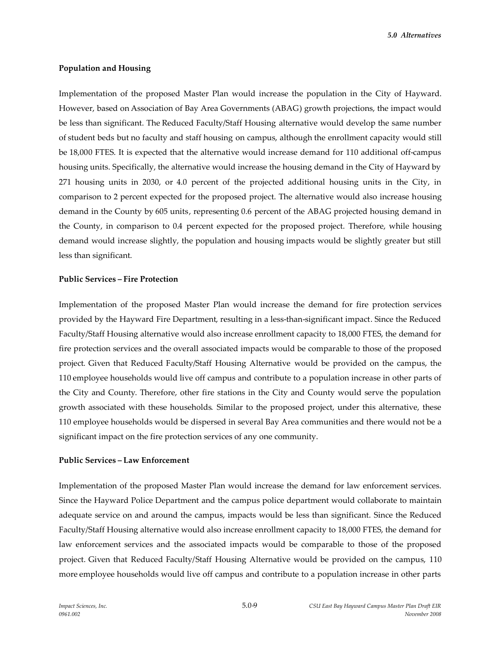*5.0 Alternatives*

#### **Population and Housing**

Implementation of the proposed Master Plan would increase the population in the City of Hayward. However, based on Association of Bay Area Governments (ABAG) growth projections, the impact would be less than significant. The Reduced Faculty/Staff Housing alternative would develop the same number of student beds but no faculty and staff housing on campus, although the enrollment capacity would still be 18,000 FTES. It is expected that the alternative would increase demand for 110 additional off-campus housing units. Specifically, the alternative would increase the housing demand in the City of Hayward by 271 housing units in 2030, or 4.0 percent of the projected additional housing units in the City, in comparison to 2 percent expected for the proposed project. The alternative would also increase housing demand in the County by 605 units, representing 0.6 percent of the ABAG projected housing demand in the County, in comparison to 0.4 percent expected for the proposed project. Therefore, while housing demand would increase slightly, the population and housing impacts would be slightly greater but still less than significant.

## **Public Services – Fire Protection**

Implementation of the proposed Master Plan would increase the demand for fire protection services provided by the Hayward Fire Department, resulting in a less-than-significant impact. Since the Reduced Faculty/Staff Housing alternative would also increase enrollment capacity to 18,000 FTES, the demand for fire protection services and the overall associated impacts would be comparable to those of the proposed project. Given that Reduced Faculty/Staff Housing Alternative would be provided on the campus, the 110 employee households would live off campus and contribute to a population increase in other parts of the City and County. Therefore, other fire stations in the City and County would serve the population growth associated with these households. Similar to the proposed project, under this alternative, these 110 employee households would be dispersed in several Bay Area communities and there would not be a significant impact on the fire protection services of any one community.

#### **Public Services – Law Enforcement**

Implementation of the proposed Master Plan would increase the demand for law enforcement services. Since the Hayward Police Department and the campus police department would collaborate to maintain adequate service on and around the campus, impacts would be less than significant. Since the Reduced Faculty/Staff Housing alternative would also increase enrollment capacity to 18,000 FTES, the demand for law enforcement services and the associated impacts would be comparable to those of the proposed project. Given that Reduced Faculty/Staff Housing Alternative would be provided on the campus, 110 more employee households would live off campus and contribute to a population increase in other parts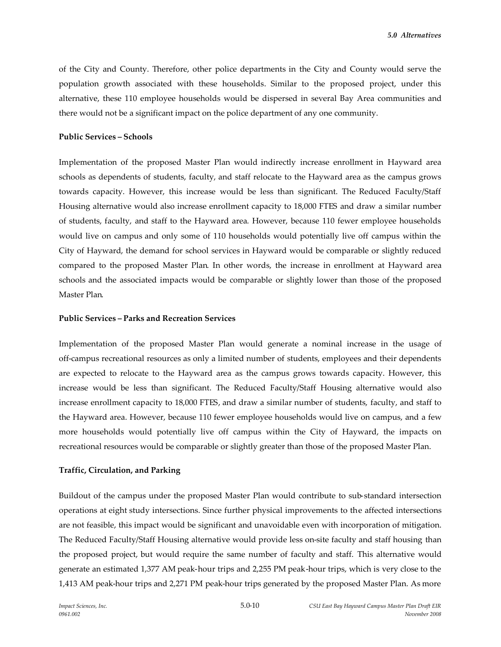of the City and County. Therefore, other police departments in the City and County would serve the population growth associated with these households. Similar to the proposed project, under this alternative, these 110 employee households would be dispersed in several Bay Area communities and there would not be a significant impact on the police department of any one community.

## **Public Services – Schools**

Implementation of the proposed Master Plan would indirectly increase enrollment in Hayward area schools as dependents of students, faculty, and staff relocate to the Hayward area as the campus grows towards capacity. However, this increase would be less than significant. The Reduced Faculty/Staff Housing alternative would also increase enrollment capacity to 18,000 FTES and draw a similar number of students, faculty, and staff to the Hayward area. However, because 110 fewer employee households would live on campus and only some of 110 households would potentially live off campus within the City of Hayward, the demand for school services in Hayward would be comparable or slightly reduced compared to the proposed Master Plan. In other words, the increase in enrollment at Hayward area schools and the associated impacts would be comparable or slightly lower than those of the proposed Master Plan.

### **Public Services – Parks and Recreation Services**

Implementation of the proposed Master Plan would generate a nominal increase in the usage of off-campus recreational resources as only a limited number of students, employees and their dependents are expected to relocate to the Hayward area as the campus grows towards capacity. However, this increase would be less than significant. The Reduced Faculty/Staff Housing alternative would also increase enrollment capacity to 18,000 FTES, and draw a similar number of students, faculty, and staff to the Hayward area. However, because 110 fewer employee households would live on campus, and a few more households would potentially live off campus within the City of Hayward, the impacts on recreational resources would be comparable or slightly greater than those of the proposed Master Plan.

# **Traffic, Circulation, and Parking**

Buildout of the campus under the proposed Master Plan would contribute to sub-standard intersection operations at eight study intersections. Since further physical improvements to the affected intersections are not feasible, this impact would be significant and unavoidable even with incorporation of mitigation. The Reduced Faculty/Staff Housing alternative would provide less on-site faculty and staff housing than the proposed project, but would require the same number of faculty and staff. This alternative would generate an estimated 1,377 AM peak-hour trips and 2,255 PM peak-hour trips, which is very close to the 1,413 AM peak-hour trips and 2,271 PM peak-hour trips generated by the proposed Master Plan. As more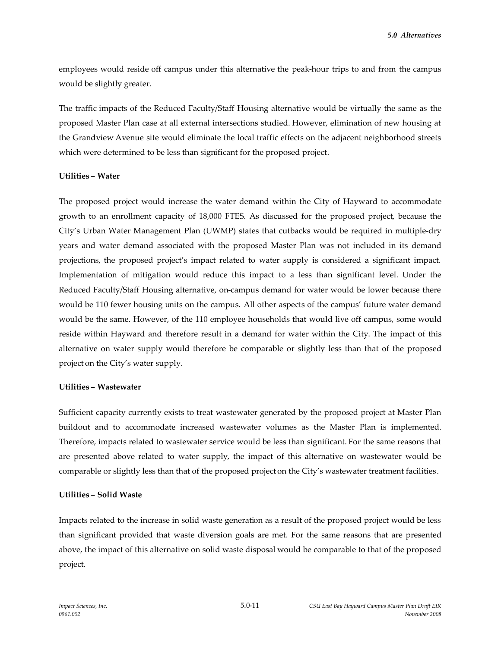employees would reside off campus under this alternative the peak-hour trips to and from the campus would be slightly greater.

The traffic impacts of the Reduced Faculty/Staff Housing alternative would be virtually the same as the proposed Master Plan case at all external intersections studied. However, elimination of new housing at the Grandview Avenue site would eliminate the local traffic effects on the adjacent neighborhood streets which were determined to be less than significant for the proposed project.

### **Utilities – Water**

The proposed project would increase the water demand within the City of Hayward to accommodate growth to an enrollment capacity of 18,000 FTES. As discussed for the proposed project, because the City's Urban Water Management Plan (UWMP) states that cutbacks would be required in multiple-dry years and water demand associated with the proposed Master Plan was not included in its demand projections, the proposed project's impact related to water supply is considered a significant impact. Implementation of mitigation would reduce this impact to a less than significant level. Under the Reduced Faculty/Staff Housing alternative, on-campus demand for water would be lower because there would be 110 fewer housing units on the campus. All other aspects of the campus' future water demand would be the same. However, of the 110 employee households that would live off campus, some would reside within Hayward and therefore result in a demand for water within the City. The impact of this alternative on water supply would therefore be comparable or slightly less than that of the proposed project on the City's water supply.

# **Utilities – Wastewater**

Sufficient capacity currently exists to treat wastewater generated by the proposed project at Master Plan buildout and to accommodate increased wastewater volumes as the Master Plan is implemented. Therefore, impacts related to wastewater service would be less than significant. For the same reasons that are presented above related to water supply, the impact of this alternative on wastewater would be comparable or slightly less than that of the proposed project on the City's wastewater treatment facilities.

# **Utilities – Solid Waste**

Impacts related to the increase in solid waste generation as a result of the proposed project would be less than significant provided that waste diversion goals are met. For the same reasons that are presented above, the impact of this alternative on solid waste disposal would be comparable to that of the proposed project.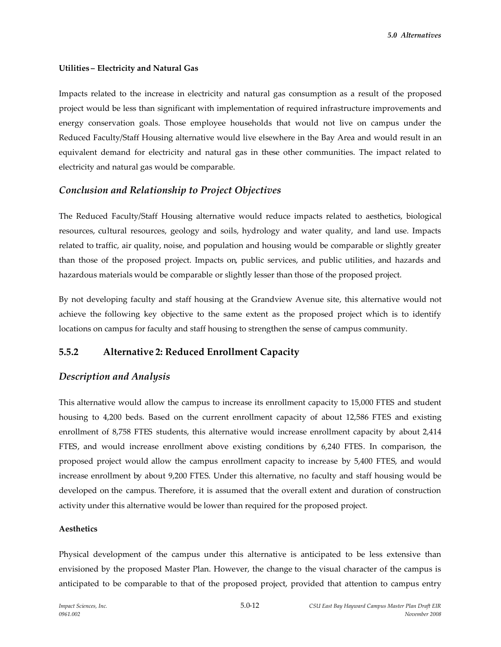## **Utilities – Electricity and Natural Gas**

Impacts related to the increase in electricity and natural gas consumption as a result of the proposed project would be less than significant with implementation of required infrastructure improvements and energy conservation goals. Those employee households that would not live on campus under the Reduced Faculty/Staff Housing alternative would live elsewhere in the Bay Area and would result in an equivalent demand for electricity and natural gas in these other communities. The impact related to electricity and natural gas would be comparable.

# *Conclusion and Relationship to Project Objectives*

The Reduced Faculty/Staff Housing alternative would reduce impacts related to aesthetics, biological resources, cultural resources, geology and soils, hydrology and water quality, and land use. Impacts related to traffic, air quality, noise, and population and housing would be comparable or slightly greater than those of the proposed project. Impacts on, public services, and public utilities, and hazards and hazardous materials would be comparable or slightly lesser than those of the proposed project.

By not developing faculty and staff housing at the Grandview Avenue site, this alternative would not achieve the following key objective to the same extent as the proposed project which is to identify locations on campus for faculty and staff housing to strengthen the sense of campus community.

# **5.5.2 Alternative 2: Reduced Enrollment Capacity**

# *Description and Analysis*

This alternative would allow the campus to increase its enrollment capacity to 15,000 FTES and student housing to 4,200 beds. Based on the current enrollment capacity of about 12,586 FTES and existing enrollment of 8,758 FTES students, this alternative would increase enrollment capacity by about 2,414 FTES, and would increase enrollment above existing conditions by 6,240 FTES. In comparison, the proposed project would allow the campus enrollment capacity to increase by 5,400 FTES, and would increase enrollment by about 9,200 FTES. Under this alternative, no faculty and staff housing would be developed on the campus. Therefore, it is assumed that the overall extent and duration of construction activity under this alternative would be lower than required for the proposed project.

#### **Aesthetics**

Physical development of the campus under this alternative is anticipated to be less extensive than envisioned by the proposed Master Plan. However, the change to the visual character of the campus is anticipated to be comparable to that of the proposed project, provided that attention to campus entry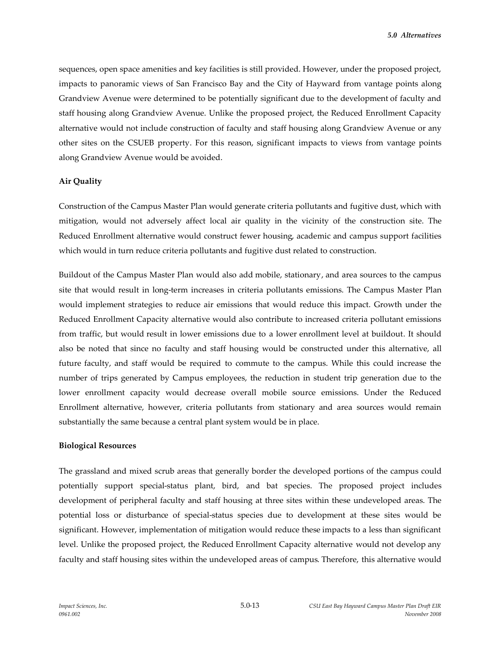sequences, open space amenities and key facilities is still provided. However, under the proposed project, impacts to panoramic views of San Francisco Bay and the City of Hayward from vantage points along Grandview Avenue were determined to be potentially significant due to the development of faculty and staff housing along Grandview Avenue. Unlike the proposed project, the Reduced Enrollment Capacity alternative would not include construction of faculty and staff housing along Grandview Avenue or any other sites on the CSUEB property. For this reason, significant impacts to views from vantage points along Grandview Avenue would be avoided.

# **Air Quality**

Construction of the Campus Master Plan would generate criteria pollutants and fugitive dust, which with mitigation, would not adversely affect local air quality in the vicinity of the construction site. The Reduced Enrollment alternative would construct fewer housing, academic and campus support facilities which would in turn reduce criteria pollutants and fugitive dust related to construction.

Buildout of the Campus Master Plan would also add mobile, stationary, and area sources to the campus site that would result in long-term increases in criteria pollutants emissions. The Campus Master Plan would implement strategies to reduce air emissions that would reduce this impact. Growth under the Reduced Enrollment Capacity alternative would also contribute to increased criteria pollutant emissions from traffic, but would result in lower emissions due to a lower enrollment level at buildout. It should also be noted that since no faculty and staff housing would be constructed under this alternative, all future faculty, and staff would be required to commute to the campus. While this could increase the number of trips generated by Campus employees, the reduction in student trip generation due to the lower enrollment capacity would decrease overall mobile source emissions. Under the Reduced Enrollment alternative, however, criteria pollutants from stationary and area sources would remain substantially the same because a central plant system would be in place.

# **Biological Resources**

The grassland and mixed scrub areas that generally border the developed portions of the campus could potentially support special-status plant, bird, and bat species. The proposed project includes development of peripheral faculty and staff housing at three sites within these undeveloped areas. The potential loss or disturbance of special-status species due to development at these sites would be significant. However, implementation of mitigation would reduce these impacts to a less than significant level. Unlike the proposed project, the Reduced Enrollment Capacity alternative would not develop any faculty and staff housing sites within the undeveloped areas of campus. Therefore, this alternative would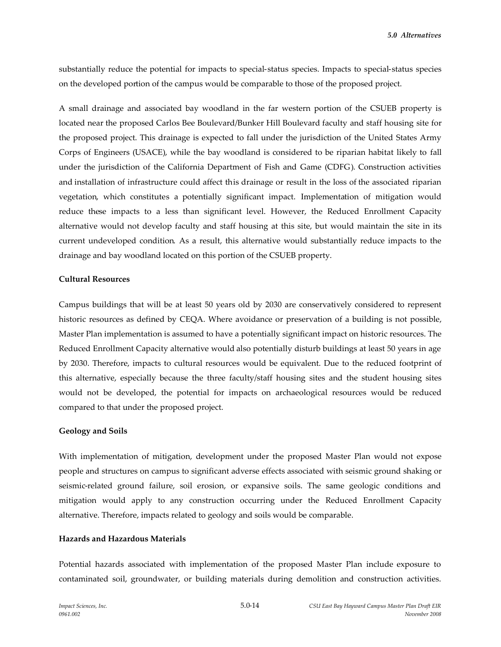substantially reduce the potential for impacts to special-status species. Impacts to special-status species on the developed portion of the campus would be comparable to those of the proposed project.

A small drainage and associated bay woodland in the far western portion of the CSUEB property is located near the proposed Carlos Bee Boulevard/Bunker Hill Boulevard faculty and staff housing site for the proposed project. This drainage is expected to fall under the jurisdiction of the United States Army Corps of Engineers (USACE), while the bay woodland is considered to be riparian habitat likely to fall under the jurisdiction of the California Department of Fish and Game (CDFG). Construction activities and installation of infrastructure could affect this drainage or result in the loss of the associated riparian vegetation, which constitutes a potentially significant impact. Implementation of mitigation would reduce these impacts to a less than significant level. However, the Reduced Enrollment Capacity alternative would not develop faculty and staff housing at this site, but would maintain the site in its current undeveloped condition. As a result, this alternative would substantially reduce impacts to the drainage and bay woodland located on this portion of the CSUEB property.

# **Cultural Resources**

Campus buildings that will be at least 50 years old by 2030 are conservatively considered to represent historic resources as defined by CEQA. Where avoidance or preservation of a building is not possible, Master Plan implementation is assumed to have a potentially significant impact on historic resources. The Reduced Enrollment Capacity alternative would also potentially disturb buildings at least 50 years in age by 2030. Therefore, impacts to cultural resources would be equivalent. Due to the reduced footprint of this alternative, especially because the three faculty/staff housing sites and the student housing sites would not be developed, the potential for impacts on archaeological resources would be reduced compared to that under the proposed project.

# **Geology and Soils**

With implementation of mitigation, development under the proposed Master Plan would not expose people and structures on campus to significant adverse effects associated with seismic ground shaking or seismic-related ground failure, soil erosion, or expansive soils. The same geologic conditions and mitigation would apply to any construction occurring under the Reduced Enrollment Capacity alternative. Therefore, impacts related to geology and soils would be comparable.

# **Hazards and Hazardous Materials**

Potential hazards associated with implementation of the proposed Master Plan include exposure to contaminated soil, groundwater, or building materials during demolition and construction activities.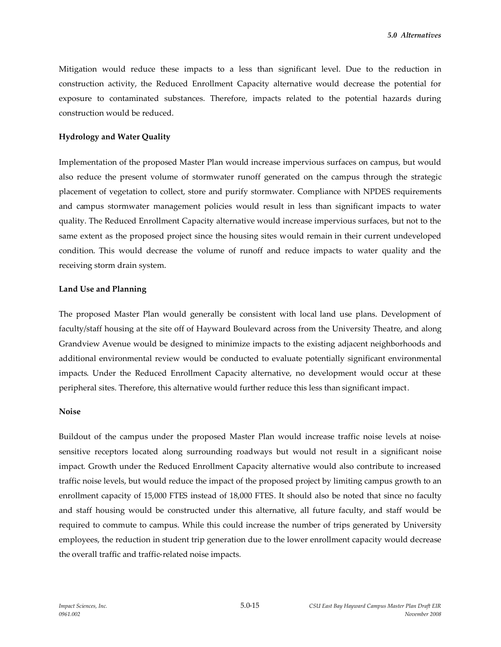Mitigation would reduce these impacts to a less than significant level. Due to the reduction in construction activity, the Reduced Enrollment Capacity alternative would decrease the potential for exposure to contaminated substances. Therefore, impacts related to the potential hazards during construction would be reduced.

## **Hydrology and Water Quality**

Implementation of the proposed Master Plan would increase impervious surfaces on campus, but would also reduce the present volume of stormwater runoff generated on the campus through the strategic placement of vegetation to collect, store and purify stormwater. Compliance with NPDES requirements and campus stormwater management policies would result in less than significant impacts to water quality. The Reduced Enrollment Capacity alternative would increase impervious surfaces, but not to the same extent as the proposed project since the housing sites would remain in their current undeveloped condition. This would decrease the volume of runoff and reduce impacts to water quality and the receiving storm drain system.

#### **Land Use and Planning**

The proposed Master Plan would generally be consistent with local land use plans. Development of faculty/staff housing at the site off of Hayward Boulevard across from the University Theatre, and along Grandview Avenue would be designed to minimize impacts to the existing adjacent neighborhoods and additional environmental review would be conducted to evaluate potentially significant environmental impacts. Under the Reduced Enrollment Capacity alternative, no development would occur at these peripheral sites. Therefore, this alternative would further reduce this less than significant impact.

#### **Noise**

Buildout of the campus under the proposed Master Plan would increase traffic noise levels at noisesensitive receptors located along surrounding roadways but would not result in a significant noise impact. Growth under the Reduced Enrollment Capacity alternative would also contribute to increased traffic noise levels, but would reduce the impact of the proposed project by limiting campus growth to an enrollment capacity of 15,000 FTES instead of 18,000 FTES. It should also be noted that since no faculty and staff housing would be constructed under this alternative, all future faculty, and staff would be required to commute to campus. While this could increase the number of trips generated by University employees, the reduction in student trip generation due to the lower enrollment capacity would decrease the overall traffic and traffic-related noise impacts.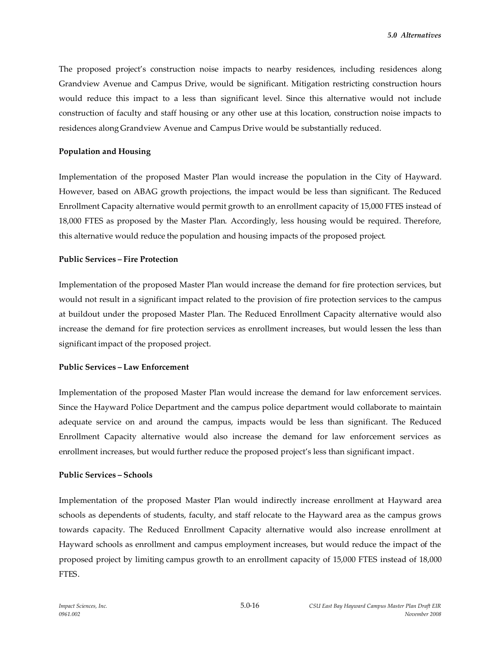The proposed project's construction noise impacts to nearby residences, including residences along Grandview Avenue and Campus Drive, would be significant. Mitigation restricting construction hours would reduce this impact to a less than significant level. Since this alternative would not include construction of faculty and staff housing or any other use at this location, construction noise impacts to residences along Grandview Avenue and Campus Drive would be substantially reduced.

#### **Population and Housing**

Implementation of the proposed Master Plan would increase the population in the City of Hayward. However, based on ABAG growth projections, the impact would be less than significant. The Reduced Enrollment Capacity alternative would permit growth to an enrollment capacity of 15,000 FTES instead of 18,000 FTES as proposed by the Master Plan. Accordingly, less housing would be required. Therefore, this alternative would reduce the population and housing impacts of the proposed project.

### **Public Services – Fire Protection**

Implementation of the proposed Master Plan would increase the demand for fire protection services, but would not result in a significant impact related to the provision of fire protection services to the campus at buildout under the proposed Master Plan. The Reduced Enrollment Capacity alternative would also increase the demand for fire protection services as enrollment increases, but would lessen the less than significant impact of the proposed project.

# **Public Services – Law Enforcement**

Implementation of the proposed Master Plan would increase the demand for law enforcement services. Since the Hayward Police Department and the campus police department would collaborate to maintain adequate service on and around the campus, impacts would be less than significant. The Reduced Enrollment Capacity alternative would also increase the demand for law enforcement services as enrollment increases, but would further reduce the proposed project's less than significant impact.

#### **Public Services – Schools**

Implementation of the proposed Master Plan would indirectly increase enrollment at Hayward area schools as dependents of students, faculty, and staff relocate to the Hayward area as the campus grows towards capacity. The Reduced Enrollment Capacity alternative would also increase enrollment at Hayward schools as enrollment and campus employment increases, but would reduce the impact of the proposed project by limiting campus growth to an enrollment capacity of 15,000 FTES instead of 18,000 FTES.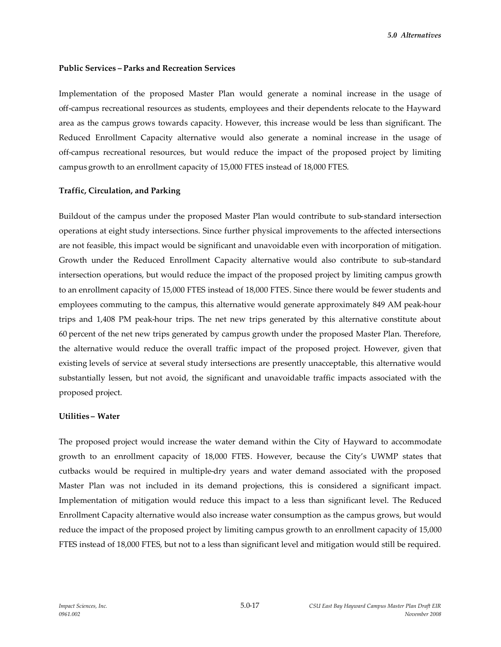#### **Public Services – Parks and Recreation Services**

Implementation of the proposed Master Plan would generate a nominal increase in the usage of off-campus recreational resources as students, employees and their dependents relocate to the Hayward area as the campus grows towards capacity. However, this increase would be less than significant. The Reduced Enrollment Capacity alternative would also generate a nominal increase in the usage of off-campus recreational resources, but would reduce the impact of the proposed project by limiting campus growth to an enrollment capacity of 15,000 FTES instead of 18,000 FTES.

### **Traffic, Circulation, and Parking**

Buildout of the campus under the proposed Master Plan would contribute to sub-standard intersection operations at eight study intersections. Since further physical improvements to the affected intersections are not feasible, this impact would be significant and unavoidable even with incorporation of mitigation. Growth under the Reduced Enrollment Capacity alternative would also contribute to sub-standard intersection operations, but would reduce the impact of the proposed project by limiting campus growth to an enrollment capacity of 15,000 FTES instead of 18,000 FTES. Since there would be fewer students and employees commuting to the campus, this alternative would generate approximately 849 AM peak-hour trips and 1,408 PM peak-hour trips. The net new trips generated by this alternative constitute about 60 percent of the net new trips generated by campus growth under the proposed Master Plan. Therefore, the alternative would reduce the overall traffic impact of the proposed project. However, given that existing levels of service at several study intersections are presently unacceptable, this alternative would substantially lessen, but not avoid, the significant and unavoidable traffic impacts associated with the proposed project.

#### **Utilities – Water**

The proposed project would increase the water demand within the City of Hayward to accommodate growth to an enrollment capacity of 18,000 FTES. However, because the City's UWMP states that cutbacks would be required in multiple-dry years and water demand associated with the proposed Master Plan was not included in its demand projections, this is considered a significant impact. Implementation of mitigation would reduce this impact to a less than significant level. The Reduced Enrollment Capacity alternative would also increase water consumption as the campus grows, but would reduce the impact of the proposed project by limiting campus growth to an enrollment capacity of 15,000 FTES instead of 18,000 FTES, but not to a less than significant level and mitigation would still be required.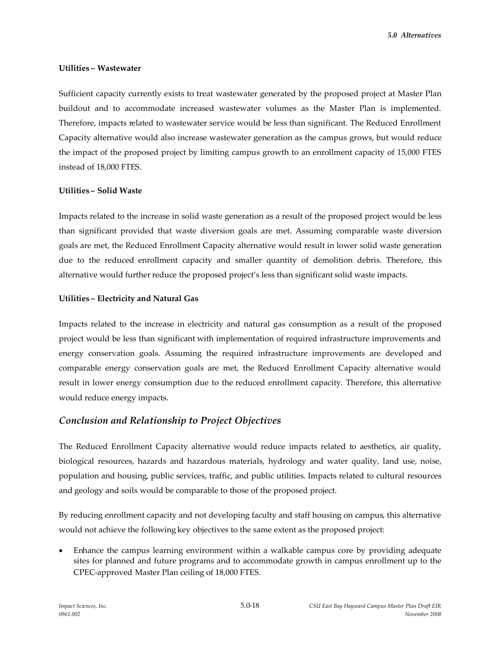*5.0 Alternatives*

#### **Utilities – Wastewater**

Sufficient capacity currently exists to treat wastewater generated by the proposed project at Master Plan buildout and to accommodate increased wastewater volumes as the Master Plan is implemented. Therefore, impacts related to wastewater service would be less than significant. The Reduced Enrollment Capacity alternative would also increase wastewater generation as the campus grows, but would reduce the impact of the proposed project by limiting campus growth to an enrollment capacity of 15,000 FTES instead of 18,000 FTES.

## **Utilities – Solid Waste**

Impacts related to the increase in solid waste generation as a result of the proposed project would be less than significant provided that waste diversion goals are met. Assuming comparable waste diversion goals are met, the Reduced Enrollment Capacity alternative would result in lower solid waste generation due to the reduced enrollment capacity and smaller quantity of demolition debris. Therefore, this alternative would further reduce the proposed project's less than significant solid waste impacts.

### **Utilities – Electricity and Natural Gas**

Impacts related to the increase in electricity and natural gas consumption as a result of the proposed project would be less than significant with implementation of required infrastructure improvements and energy conservation goals. Assuming the required infrastructure improvements are developed and comparable energy conservation goals are met, the Reduced Enrollment Capacity alternative would result in lower energy consumption due to the reduced enrollment capacity. Therefore, this alternative would reduce energy impacts.

# *Conclusion and Relationship to Project Objectives*

The Reduced Enrollment Capacity alternative would reduce impacts related to aesthetics, air quality, biological resources, hazards and hazardous materials, hydrology and water quality, land use, noise, population and housing, public services, traffic, and public utilities. Impacts related to cultural resources and geology and soils would be comparable to those of the proposed project.

By reducing enrollment capacity and not developing faculty and staff housing on campus, this alternative would not achieve the following key objectives to the same extent as the proposed project:

 Enhance the campus learning environment within a walkable campus core by providing adequate sites for planned and future programs and to accommodate growth in campus enrollment up to the CPEC-approved Master Plan ceiling of 18,000 FTES.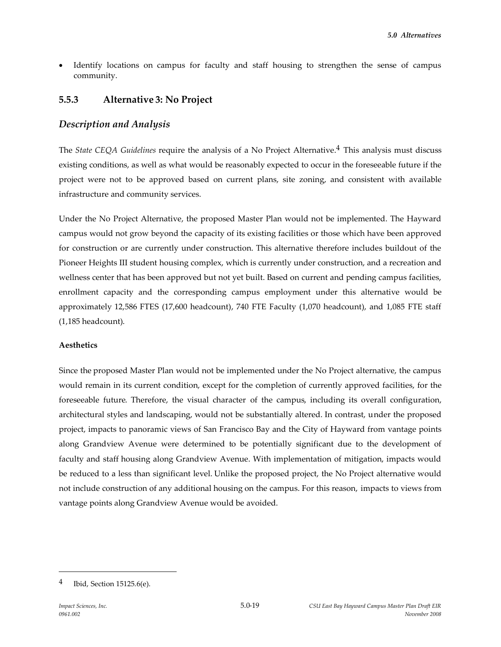Identify locations on campus for faculty and staff housing to strengthen the sense of campus community.

# **5.5.3 Alternative 3: No Project**

# *Description and Analysis*

The *State CEQA Guidelines* require the analysis of a No Project Alternative.4 This analysis must discuss existing conditions, as well as what would be reasonably expected to occur in the foreseeable future if the project were not to be approved based on current plans, site zoning, and consistent with available infrastructure and community services.

Under the No Project Alternative, the proposed Master Plan would not be implemented. The Hayward campus would not grow beyond the capacity of its existing facilities or those which have been approved for construction or are currently under construction. This alternative therefore includes buildout of the Pioneer Heights III student housing complex, which is currently under construction, and a recreation and wellness center that has been approved but not yet built. Based on current and pending campus facilities, enrollment capacity and the corresponding campus employment under this alternative would be approximately 12,586 FTES (17,600 headcount), 740 FTE Faculty (1,070 headcount), and 1,085 FTE staff (1,185 headcount).

#### **Aesthetics**

Since the proposed Master Plan would not be implemented under the No Project alternative, the campus would remain in its current condition, except for the completion of currently approved facilities, for the foreseeable future. Therefore, the visual character of the campus, including its overall configuration, architectural styles and landscaping, would not be substantially altered. In contrast, under the proposed project, impacts to panoramic views of San Francisco Bay and the City of Hayward from vantage points along Grandview Avenue were determined to be potentially significant due to the development of faculty and staff housing along Grandview Avenue. With implementation of mitigation, impacts would be reduced to a less than significant level. Unlike the proposed project, the No Project alternative would not include construction of any additional housing on the campus. For this reason, impacts to views from vantage points along Grandview Avenue would be avoided.

<sup>4</sup> Ibid, Section 15125.6(e).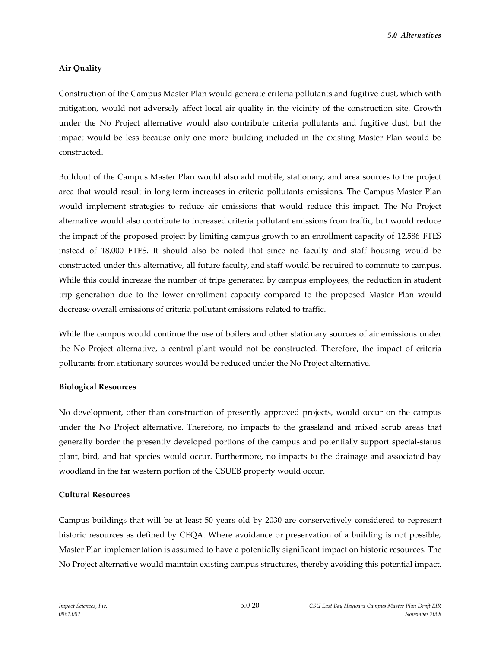*5.0 Alternatives*

# **Air Quality**

Construction of the Campus Master Plan would generate criteria pollutants and fugitive dust, which with mitigation, would not adversely affect local air quality in the vicinity of the construction site. Growth under the No Project alternative would also contribute criteria pollutants and fugitive dust, but the impact would be less because only one more building included in the existing Master Plan would be constructed.

Buildout of the Campus Master Plan would also add mobile, stationary, and area sources to the project area that would result in long-term increases in criteria pollutants emissions. The Campus Master Plan would implement strategies to reduce air emissions that would reduce this impact. The No Project alternative would also contribute to increased criteria pollutant emissions from traffic, but would reduce the impact of the proposed project by limiting campus growth to an enrollment capacity of 12,586 FTES instead of 18,000 FTES. It should also be noted that since no faculty and staff housing would be constructed under this alternative, all future faculty, and staff would be required to commute to campus. While this could increase the number of trips generated by campus employees, the reduction in student trip generation due to the lower enrollment capacity compared to the proposed Master Plan would decrease overall emissions of criteria pollutant emissions related to traffic.

While the campus would continue the use of boilers and other stationary sources of air emissions under the No Project alternative, a central plant would not be constructed. Therefore, the impact of criteria pollutants from stationary sources would be reduced under the No Project alternative.

#### **Biological Resources**

No development, other than construction of presently approved projects, would occur on the campus under the No Project alternative. Therefore, no impacts to the grassland and mixed scrub areas that generally border the presently developed portions of the campus and potentially support special-status plant, bird, and bat species would occur. Furthermore, no impacts to the drainage and associated bay woodland in the far western portion of the CSUEB property would occur.

## **Cultural Resources**

Campus buildings that will be at least 50 years old by 2030 are conservatively considered to represent historic resources as defined by CEQA. Where avoidance or preservation of a building is not possible, Master Plan implementation is assumed to have a potentially significant impact on historic resources. The No Project alternative would maintain existing campus structures, thereby avoiding this potential impact.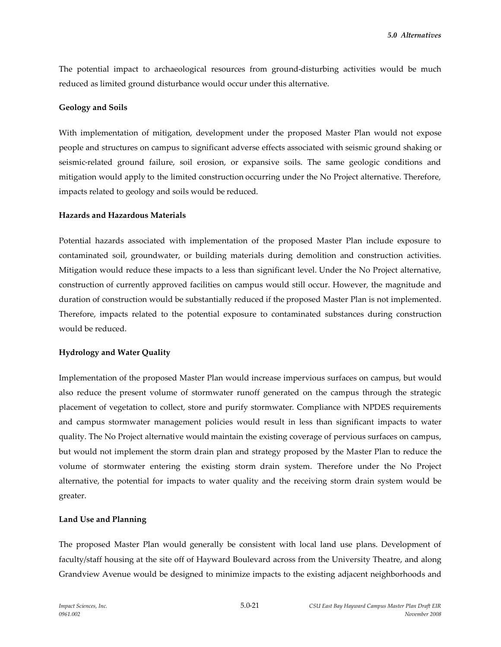The potential impact to archaeological resources from ground-disturbing activities would be much reduced as limited ground disturbance would occur under this alternative.

## **Geology and Soils**

With implementation of mitigation, development under the proposed Master Plan would not expose people and structures on campus to significant adverse effects associated with seismic ground shaking or seismic-related ground failure, soil erosion, or expansive soils. The same geologic conditions and mitigation would apply to the limited construction occurring under the No Project alternative. Therefore, impacts related to geology and soils would be reduced.

#### **Hazards and Hazardous Materials**

Potential hazards associated with implementation of the proposed Master Plan include exposure to contaminated soil, groundwater, or building materials during demolition and construction activities. Mitigation would reduce these impacts to a less than significant level. Under the No Project alternative, construction of currently approved facilities on campus would still occur. However, the magnitude and duration of construction would be substantially reduced if the proposed Master Plan is not implemented. Therefore, impacts related to the potential exposure to contaminated substances during construction would be reduced.

# **Hydrology and Water Quality**

Implementation of the proposed Master Plan would increase impervious surfaces on campus, but would also reduce the present volume of stormwater runoff generated on the campus through the strategic placement of vegetation to collect, store and purify stormwater. Compliance with NPDES requirements and campus stormwater management policies would result in less than significant impacts to water quality. The No Project alternative would maintain the existing coverage of pervious surfaces on campus, but would not implement the storm drain plan and strategy proposed by the Master Plan to reduce the volume of stormwater entering the existing storm drain system. Therefore under the No Project alternative, the potential for impacts to water quality and the receiving storm drain system would be greater.

#### **Land Use and Planning**

The proposed Master Plan would generally be consistent with local land use plans. Development of faculty/staff housing at the site off of Hayward Boulevard across from the University Theatre, and along Grandview Avenue would be designed to minimize impacts to the existing adjacent neighborhoods and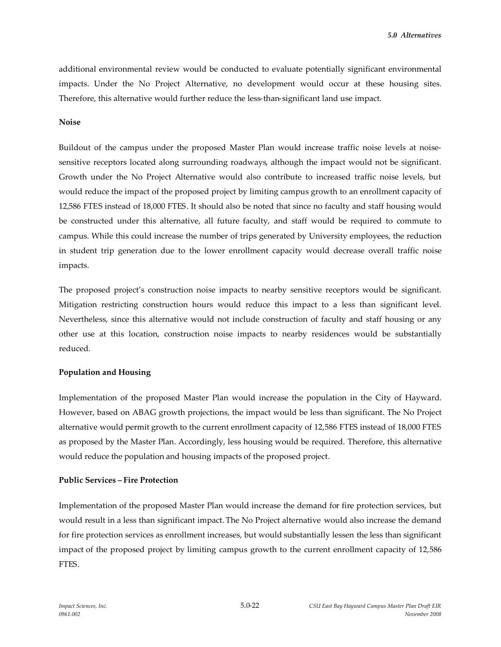additional environmental review would be conducted to evaluate potentially significant environmental impacts. Under the No Project Alternative, no development would occur at these housing sites. Therefore, this alternative would further reduce the less-than-significant land use impact.

#### **Noise**

Buildout of the campus under the proposed Master Plan would increase traffic noise levels at noisesensitive receptors located along surrounding roadways, although the impact would not be significant. Growth under the No Project Alternative would also contribute to increased traffic noise levels, but would reduce the impact of the proposed project by limiting campus growth to an enrollment capacity of 12,586 FTES instead of 18,000 FTES. It should also be noted that since no faculty and staff housing would be constructed under this alternative, all future faculty, and staff would be required to commute to campus. While this could increase the number of trips generated by University employees, the reduction in student trip generation due to the lower enrollment capacity would decrease overall traffic noise impacts.

The proposed project's construction noise impacts to nearby sensitive receptors would be significant. Mitigation restricting construction hours would reduce this impact to a less than significant level. Nevertheless, since this alternative would not include construction of faculty and staff housing or any other use at this location, construction noise impacts to nearby residences would be substantially reduced.

# **Population and Housing**

Implementation of the proposed Master Plan would increase the population in the City of Hayward. However, based on ABAG growth projections, the impact would be less than significant. The No Project alternative would permit growth to the current enrollment capacity of 12,586 FTES instead of 18,000 FTES as proposed by the Master Plan. Accordingly, less housing would be required. Therefore, this alternative would reduce the population and housing impacts of the proposed project.

# **Public Services – Fire Protection**

Implementation of the proposed Master Plan would increase the demand for fire protection services, but would result in a less than significant impact. The No Project alternative would also increase the demand for fire protection services as enrollment increases, but would substantially lessen the less than significant impact of the proposed project by limiting campus growth to the current enrollment capacity of 12,586 FTES.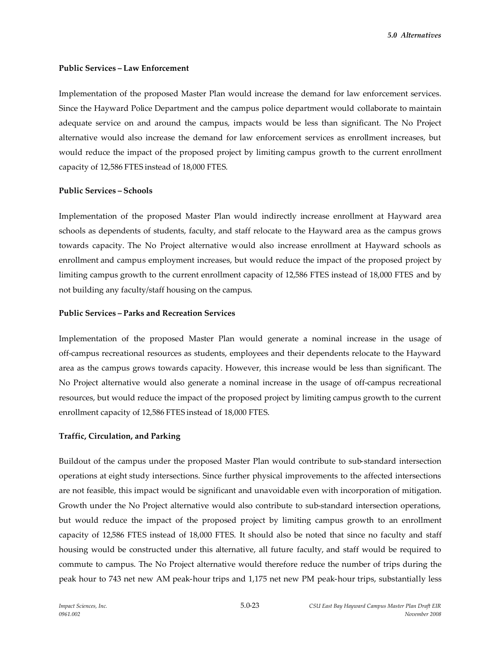#### **Public Services – Law Enforcement**

Implementation of the proposed Master Plan would increase the demand for law enforcement services. Since the Hayward Police Department and the campus police department would collaborate to maintain adequate service on and around the campus, impacts would be less than significant. The No Project alternative would also increase the demand for law enforcement services as enrollment increases, but would reduce the impact of the proposed project by limiting campus growth to the current enrollment capacity of 12,586 FTES instead of 18,000 FTES.

### **Public Services – Schools**

Implementation of the proposed Master Plan would indirectly increase enrollment at Hayward area schools as dependents of students, faculty, and staff relocate to the Hayward area as the campus grows towards capacity. The No Project alternative would also increase enrollment at Hayward schools as enrollment and campus employment increases, but would reduce the impact of the proposed project by limiting campus growth to the current enrollment capacity of 12,586 FTES instead of 18,000 FTES and by not building any faculty/staff housing on the campus.

## **Public Services – Parks and Recreation Services**

Implementation of the proposed Master Plan would generate a nominal increase in the usage of off-campus recreational resources as students, employees and their dependents relocate to the Hayward area as the campus grows towards capacity. However, this increase would be less than significant. The No Project alternative would also generate a nominal increase in the usage of off-campus recreational resources, but would reduce the impact of the proposed project by limiting campus growth to the current enrollment capacity of 12,586 FTES instead of 18,000 FTES.

# **Traffic, Circulation, and Parking**

Buildout of the campus under the proposed Master Plan would contribute to sub-standard intersection operations at eight study intersections. Since further physical improvements to the affected intersections are not feasible, this impact would be significant and unavoidable even with incorporation of mitigation. Growth under the No Project alternative would also contribute to sub-standard intersection operations, but would reduce the impact of the proposed project by limiting campus growth to an enrollment capacity of 12,586 FTES instead of 18,000 FTES. It should also be noted that since no faculty and staff housing would be constructed under this alternative, all future faculty, and staff would be required to commute to campus. The No Project alternative would therefore reduce the number of trips during the peak hour to 743 net new AM peak-hour trips and 1,175 net new PM peak-hour trips, substantially less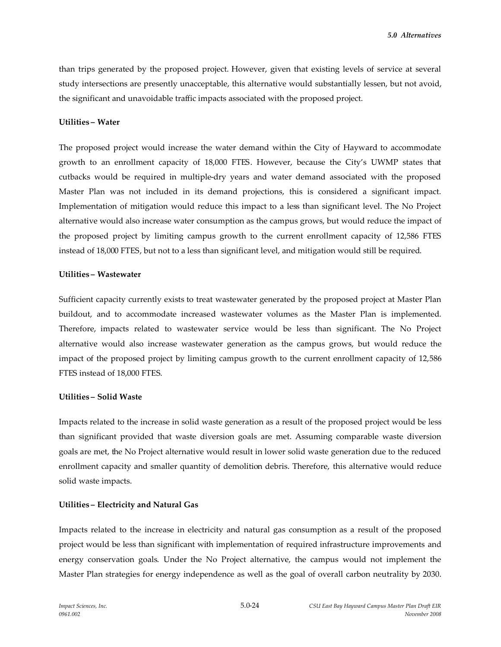than trips generated by the proposed project. However, given that existing levels of service at several study intersections are presently unacceptable, this alternative would substantially lessen, but not avoid, the significant and unavoidable traffic impacts associated with the proposed project.

#### **Utilities – Water**

The proposed project would increase the water demand within the City of Hayward to accommodate growth to an enrollment capacity of 18,000 FTES. However, because the City's UWMP states that cutbacks would be required in multiple-dry years and water demand associated with the proposed Master Plan was not included in its demand projections, this is considered a significant impact. Implementation of mitigation would reduce this impact to a less than significant level. The No Project alternative would also increase water consumption as the campus grows, but would reduce the impact of the proposed project by limiting campus growth to the current enrollment capacity of 12,586 FTES instead of 18,000 FTES, but not to a less than significant level, and mitigation would still be required.

### **Utilities – Wastewater**

Sufficient capacity currently exists to treat wastewater generated by the proposed project at Master Plan buildout, and to accommodate increased wastewater volumes as the Master Plan is implemented. Therefore, impacts related to wastewater service would be less than significant. The No Project alternative would also increase wastewater generation as the campus grows, but would reduce the impact of the proposed project by limiting campus growth to the current enrollment capacity of 12,586 FTES instead of 18,000 FTES.

# **Utilities – Solid Waste**

Impacts related to the increase in solid waste generation as a result of the proposed project would be less than significant provided that waste diversion goals are met. Assuming comparable waste diversion goals are met, the No Project alternative would result in lower solid waste generation due to the reduced enrollment capacity and smaller quantity of demolition debris. Therefore, this alternative would reduce solid waste impacts.

# **Utilities – Electricity and Natural Gas**

Impacts related to the increase in electricity and natural gas consumption as a result of the proposed project would be less than significant with implementation of required infrastructure improvements and energy conservation goals. Under the No Project alternative, the campus would not implement the Master Plan strategies for energy independence as well as the goal of overall carbon neutrality by 2030.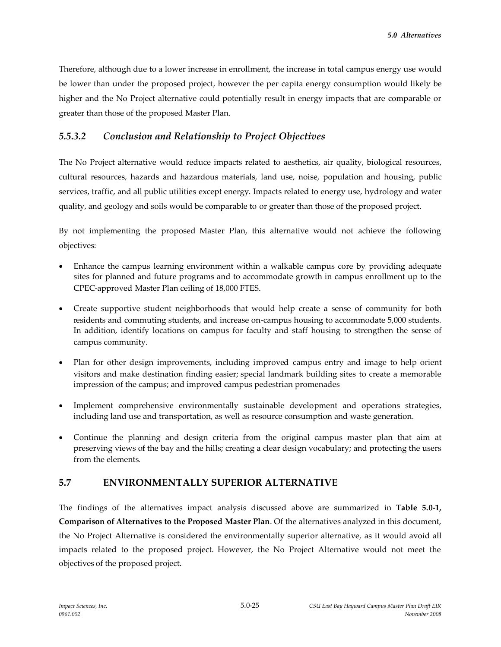Therefore, although due to a lower increase in enrollment, the increase in total campus energy use would be lower than under the proposed project, however the per capita energy consumption would likely be higher and the No Project alternative could potentially result in energy impacts that are comparable or greater than those of the proposed Master Plan.

# *5.5.3.2 Conclusion and Relationship to Project Objectives*

The No Project alternative would reduce impacts related to aesthetics, air quality, biological resources, cultural resources, hazards and hazardous materials, land use, noise, population and housing, public services, traffic, and all public utilities except energy. Impacts related to energy use, hydrology and water quality, and geology and soils would be comparable to or greater than those of the proposed project.

By not implementing the proposed Master Plan, this alternative would not achieve the following objectives:

- Enhance the campus learning environment within a walkable campus core by providing adequate sites for planned and future programs and to accommodate growth in campus enrollment up to the CPEC-approved Master Plan ceiling of 18,000 FTES.
- Create supportive student neighborhoods that would help create a sense of community for both residents and commuting students, and increase on-campus housing to accommodate 5,000 students. In addition, identify locations on campus for faculty and staff housing to strengthen the sense of campus community.
- Plan for other design improvements, including improved campus entry and image to help orient visitors and make destination finding easier; special landmark building sites to create a memorable impression of the campus; and improved campus pedestrian promenades
- Implement comprehensive environmentally sustainable development and operations strategies, including land use and transportation, as well as resource consumption and waste generation.
- Continue the planning and design criteria from the original campus master plan that aim at preserving views of the bay and the hills; creating a clear design vocabulary; and protecting the users from the elements.

# **5.7 ENVIRONMENTALLY SUPERIOR ALTERNATIVE**

The findings of the alternatives impact analysis discussed above are summarized in **Table 5.0-1, Comparison of Alternatives to the Proposed Master Plan**. Of the alternatives analyzed in this document, the No Project Alternative is considered the environmentally superior alternative, as it would avoid all impacts related to the proposed project. However, the No Project Alternative would not meet the objectives of the proposed project.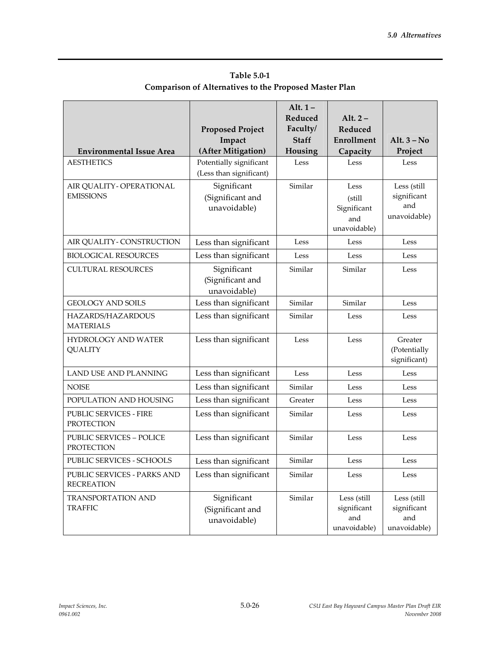| <b>Environmental Issue Area</b>                      | <b>Proposed Project</b><br>Impact<br>(After Mitigation) | Alt. $1-$<br>Reduced<br>Faculty/<br><b>Staff</b><br>Housing | Alt. $2-$<br>Reduced<br>Enrollment<br>Capacity        | Alt. $3 - No$<br>Project                          |
|------------------------------------------------------|---------------------------------------------------------|-------------------------------------------------------------|-------------------------------------------------------|---------------------------------------------------|
| <b>AESTHETICS</b>                                    | Potentially significant                                 | Less                                                        | Less                                                  | Less                                              |
|                                                      | (Less than significant)                                 |                                                             |                                                       |                                                   |
| AIR QUALITY - OPERATIONAL<br><b>EMISSIONS</b>        | Significant<br>(Significant and<br>unavoidable)         | Similar                                                     | Less<br>(still)<br>Significant<br>and<br>unavoidable) | Less (still<br>significant<br>and<br>unavoidable) |
| AIR QUALITY - CONSTRUCTION                           | Less than significant                                   | Less                                                        | Less                                                  | Less                                              |
| <b>BIOLOGICAL RESOURCES</b>                          | Less than significant                                   | Less                                                        | Less                                                  | Less                                              |
| <b>CULTURAL RESOURCES</b>                            | Significant<br>(Significant and<br>unavoidable)         | Similar                                                     | Similar                                               | Less                                              |
| <b>GEOLOGY AND SOILS</b>                             | Less than significant                                   | Similar                                                     | Similar                                               | Less                                              |
| HAZARDS/HAZARDOUS<br><b>MATERIALS</b>                | Less than significant                                   | Similar                                                     | Less                                                  | Less                                              |
| <b>HYDROLOGY AND WATER</b><br><b>QUALITY</b>         | Less than significant                                   | Less                                                        | Less                                                  | Greater<br>(Potentially<br>significant)           |
| LAND USE AND PLANNING                                | Less than significant                                   | Less                                                        | Less                                                  | Less                                              |
| <b>NOISE</b>                                         | Less than significant                                   | Similar                                                     | Less                                                  | Less                                              |
| POPULATION AND HOUSING                               | Less than significant                                   | Greater                                                     | Less                                                  | Less                                              |
| PUBLIC SERVICES - FIRE<br><b>PROTECTION</b>          | Less than significant                                   | Similar                                                     | Less                                                  | Less                                              |
| <b>PUBLIC SERVICES - POLICE</b><br><b>PROTECTION</b> | Less than significant                                   | Similar                                                     | Less                                                  | Less                                              |
| PUBLIC SERVICES - SCHOOLS                            | Less than significant                                   | Similar                                                     | Less                                                  | Less                                              |
| PUBLIC SERVICES - PARKS AND<br><b>RECREATION</b>     | Less than significant                                   | Similar                                                     | Less                                                  | Less                                              |
| <b>TRANSPORTATION AND</b><br><b>TRAFFIC</b>          | Significant<br>(Significant and<br>unavoidable)         | Similar                                                     | Less (still<br>significant<br>and<br>unavoidable)     | Less (still<br>significant<br>and<br>unavoidable) |

# **Table 5.0-1 Comparison of Alternatives to the Proposed Master Plan**